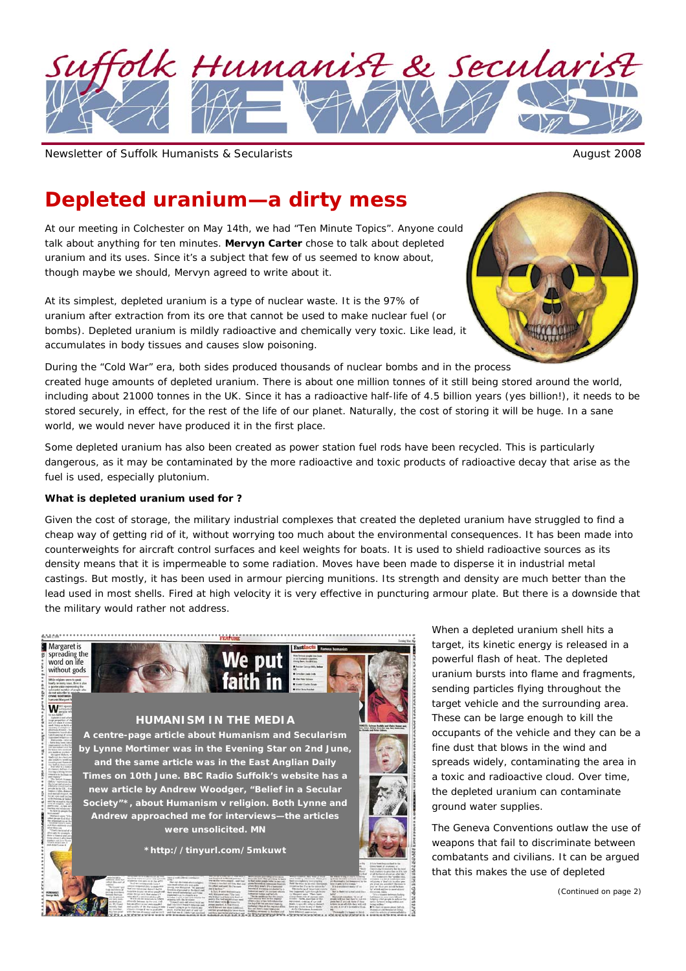

Newsletter of Suffolk Humanists & Secularists August 2008

# **Depleted uranium—a dirty mess**

*At our meeting in Colchester on May 14th, we had "Ten Minute Topics". Anyone could talk about anything for ten minutes. Mervyn Carter chose to talk about depleted uranium and its uses. Since it's a subject that few of us seemed to know about, though maybe we should, Mervyn agreed to write about it.* 

At its simplest, depleted uranium is a type of nuclear waste. It is the 97% of uranium after extraction from its ore that cannot be used to make nuclear fuel (or bombs). Depleted uranium is mildly radioactive and chemically very toxic. Like lead, it accumulates in body tissues and causes slow poisoning.



During the "Cold War" era, both sides produced thousands of nuclear bombs and in the process created huge amounts of depleted uranium. There is about one million tonnes of it still being stored around the world, including about 21000 tonnes in the UK. Since it has a radioactive half-life of 4.5 billion years (yes billion!), it needs to be stored securely, in effect, for the rest of the life of our planet. Naturally, the cost of storing it will be huge. In a sane world, we would never have produced it in the first place.

Some depleted uranium has also been created as power station fuel rods have been recycled. This is particularly dangerous, as it may be contaminated by the more radioactive and toxic products of radioactive decay that arise as the fuel is used, especially plutonium.

#### **What is depleted uranium used for ?**

Given the cost of storage, the military industrial complexes that created the depleted uranium have struggled to find a cheap way of getting rid of it, without worrying too much about the environmental consequences. It has been made into counterweights for aircraft control surfaces and keel weights for boats. It is used to shield radioactive sources as its density means that it is impermeable to some radiation. Moves have been made to disperse it in industrial metal castings. But mostly, it has been used in armour piercing munitions. Its strength and density are much better than the lead used in most shells. Fired at high velocity it is very effective in puncturing armour plate. But there is a downside that the military would rather not address.



When a depleted uranium shell hits a target, its kinetic energy is released in a powerful flash of heat. The depleted uranium bursts into flame and fragments, sending particles flying throughout the target vehicle and the surrounding area. These can be large enough to kill the occupants of the vehicle and they can be a fine dust that blows in the wind and spreads widely, contaminating the area in a toxic and radioactive cloud. Over time, the depleted uranium can contaminate ground water supplies.

The Geneva Conventions outlaw the use of weapons that fail to discriminate between combatants and civilians. It can be argued that this makes the use of depleted

*(Continued on page 2)*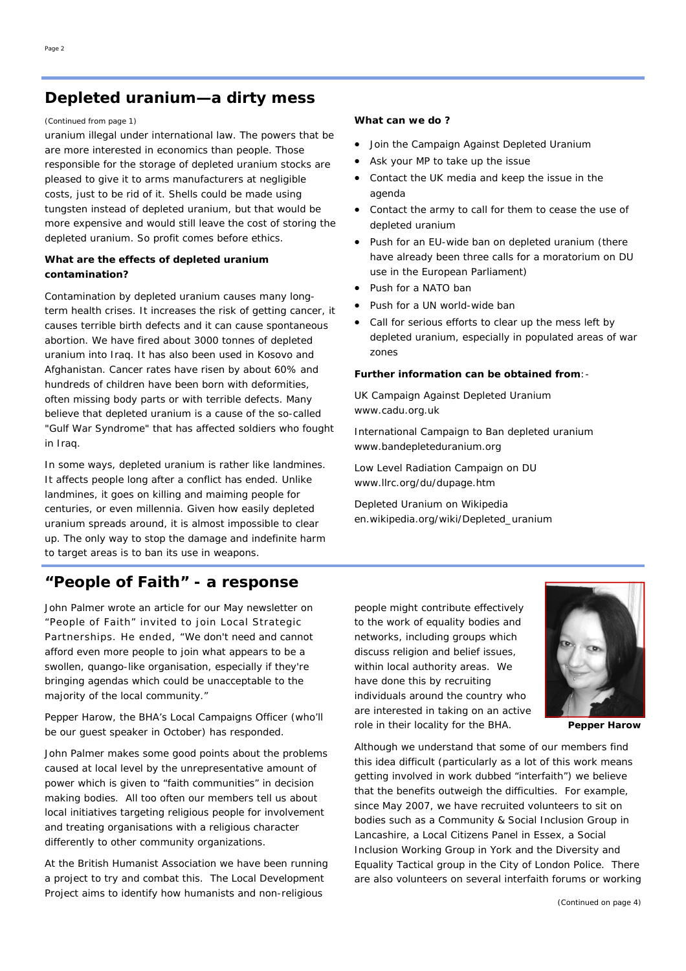# **Depleted uranium—a dirty mess**

uranium illegal under international law. The powers that be are more interested in economics than people. Those responsible for the storage of depleted uranium stocks are pleased to give it to arms manufacturers at negligible costs, just to be rid of it. Shells could be made using tungsten instead of depleted uranium, but that would be more expensive and would still leave the cost of storing the depleted uranium. So profit comes before ethics.

## **What are the effects of depleted uranium contamination?**

Contamination by depleted uranium causes many longterm health crises. It increases the risk of getting cancer, it causes terrible birth defects and it can cause spontaneous abortion. We have fired about 3000 tonnes of depleted uranium into Iraq. It has also been used in Kosovo and Afghanistan. Cancer rates have risen by about 60% and hundreds of children have been born with deformities, often missing body parts or with terrible defects. Many believe that depleted uranium is a cause of the so-called "Gulf War Syndrome" that has affected soldiers who fought in Iraq.

In some ways, depleted uranium is rather like landmines. It affects people long after a conflict has ended. Unlike landmines, it goes on killing and maiming people for centuries, or even millennia. Given how easily depleted uranium spreads around, it is almost impossible to clear up. The only way to stop the damage and indefinite harm to target areas is to ban its use in weapons.

# **"People of Faith" - a response**

*John Palmer wrote an article for our May newsletter on "People of Faith" invited to join Local Strategic Partnerships. He ended, "We don't need and cannot afford even more people to join what appears to be a swollen, quango-like organisation, especially if they're bringing agendas which could be unacceptable to the majority of the local community."* 

### *Pepper Harow, the BHA's Local Campaigns Officer (who'll be our guest speaker in October) has responded.*

John Palmer makes some good points about the problems caused at local level by the unrepresentative amount of power which is given to "faith communities" in decision making bodies. All too often our members tell us about local initiatives targeting religious people for involvement and treating organisations with a religious character differently to other community organizations.

At the British Humanist Association we have been running a project to try and combat this. The Local Development Project aims to identify how humanists and non-religious

#### *(Continued from page 1)* **What can we do ?**

- Join the Campaign Against Depleted Uranium
- Ask your MP to take up the issue
- Contact the UK media and keep the issue in the agenda
- Contact the army to call for them to cease the use of depleted uranium
- Push for an EU-wide ban on depleted uranium (there have already been three calls for a moratorium on DU use in the European Parliament)
- Push for a NATO ban
- Push for a UN world-wide ban
- Call for serious efforts to clear up the mess left by depleted uranium, especially in populated areas of war zones

## **Further information can be obtained from**:-

UK Campaign Against Depleted Uranium www.cadu.org.uk

International Campaign to Ban depleted uranium www.bandepleteduranium.org

Low Level Radiation Campaign on DU www.llrc.org/du/dupage.htm

Depleted Uranium on Wikipedia en.wikipedia.org/wiki/Depleted\_uranium

people might contribute effectively to the work of equality bodies and networks, including groups which discuss religion and belief issues, within local authority areas. We have done this by recruiting individuals around the country who are interested in taking on an active role in their locality for the BHA.

**Pepper Harow** 

Although we understand that some of our members find this idea difficult (particularly as a lot of this work means getting involved in work dubbed "interfaith") we believe that the benefits outweigh the difficulties. For example, since May 2007, we have recruited volunteers to sit on bodies such as a Community & Social Inclusion Group in Lancashire, a Local Citizens Panel in Essex, a Social Inclusion Working Group in York and the Diversity and Equality Tactical group in the City of London Police. There are also volunteers on several interfaith forums or working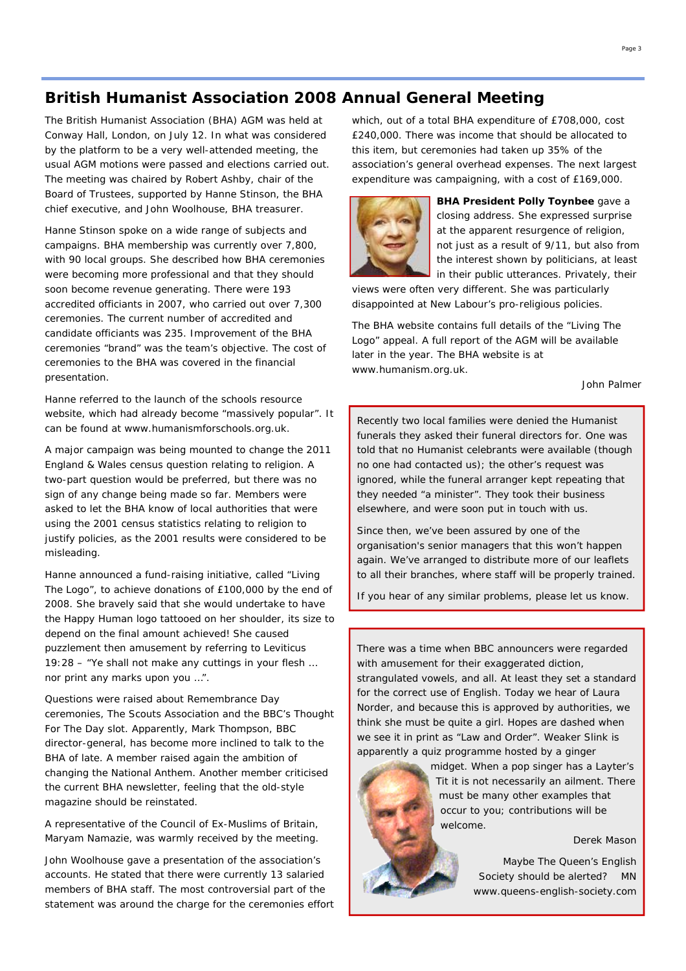# **British Humanist Association 2008 Annual General Meeting**

The British Humanist Association (BHA) AGM was held at Conway Hall, London, on July 12. In what was considered by the platform to be a very well-attended meeting, the usual AGM motions were passed and elections carried out. The meeting was chaired by Robert Ashby, chair of the Board of Trustees, supported by Hanne Stinson, the BHA chief executive, and John Woolhouse, BHA treasurer.

Hanne Stinson spoke on a wide range of subjects and campaigns. BHA membership was currently over 7,800, with 90 local groups. She described how BHA ceremonies were becoming more professional and that they should soon become revenue generating. There were 193 accredited officiants in 2007, who carried out over 7,300 ceremonies. The current number of accredited and candidate officiants was 235. Improvement of the BHA ceremonies "brand" was the team's objective. The cost of ceremonies to the BHA was covered in the financial presentation.

Hanne referred to the launch of the schools resource website, which had already become "massively popular". It can be found at www.humanismforschools.org.uk.

A major campaign was being mounted to change the 2011 England & Wales census question relating to religion. A two-part question would be preferred, but there was no sign of any change being made so far. Members were asked to let the BHA know of local authorities that were using the 2001 census statistics relating to religion to justify policies, as the 2001 results were considered to be misleading.

Hanne announced a fund-raising initiative, called "Living The Logo", to achieve donations of £100,000 by the end of 2008. She bravely said that she would undertake to have the Happy Human logo tattooed on her shoulder, its size to depend on the final amount achieved! She caused puzzlement then amusement by referring to Leviticus 19:28 – "Ye shall not make any cuttings in your flesh … nor print any marks upon you …".

Questions were raised about Remembrance Day ceremonies, The Scouts Association and the BBC's Thought For The Day slot. Apparently, Mark Thompson, BBC director-general, has become more inclined to talk to the BHA of late. A member raised again the ambition of changing the National Anthem. Another member criticised the current BHA newsletter, feeling that the old-style magazine should be reinstated.

A representative of the Council of Ex-Muslims of Britain, Maryam Namazie, was warmly received by the meeting.

John Woolhouse gave a presentation of the association's accounts. He stated that there were currently 13 salaried members of BHA staff. The most controversial part of the statement was around the charge for the ceremonies effort which, out of a total BHA expenditure of £708,000, cost £240,000. There was income that should be allocated to this item, but ceremonies had taken up 35% of the association's general overhead expenses. The next largest expenditure was campaigning, with a cost of £169,000.



**BHA President Polly Toynbee** gave a closing address. She expressed surprise at the apparent resurgence of religion, not just as a result of 9/11, but also from the interest shown by politicians, at least in their public utterances. Privately, their

views were often very different. She was particularly disappointed at New Labour's pro-religious policies.

The BHA website contains full details of the "Living The Logo" appeal. A full report of the AGM will be available later in the year. The BHA website is at www.humanism.org.uk.

*John Palmer*

Recently two local families were denied the Humanist funerals they asked their funeral directors for. One was told that no Humanist celebrants were available (though no one had contacted us); the other's request was ignored, while the funeral arranger kept repeating that they needed "a minister". They took their business elsewhere, and were soon put in touch with us.

Since then, we've been assured by one of the organisation's senior managers that this won't happen again. We've arranged to distribute more of our leaflets to all their branches, where staff will be properly trained.

If you hear of any similar problems, please let us know.

There was a time when BBC announcers were regarded with amusement for their exaggerated diction, strangulated vowels, and all. At least they set a standard for the correct use of English. Today we hear of Laura Norder, and because this is approved by authorities, we think she must be quite a girl. Hopes are dashed when we see it in print as "Law and Order". Weaker Slink is apparently a quiz programme hosted by a ginger

> midget. When a pop singer has a Layter's Tit it is not necessarily an ailment. There must be many other examples that occur to you; contributions will be welcome.

> > *Derek Mason*

Maybe The Queen's English Society should be alerted? *MN*  www.queens-english-society.com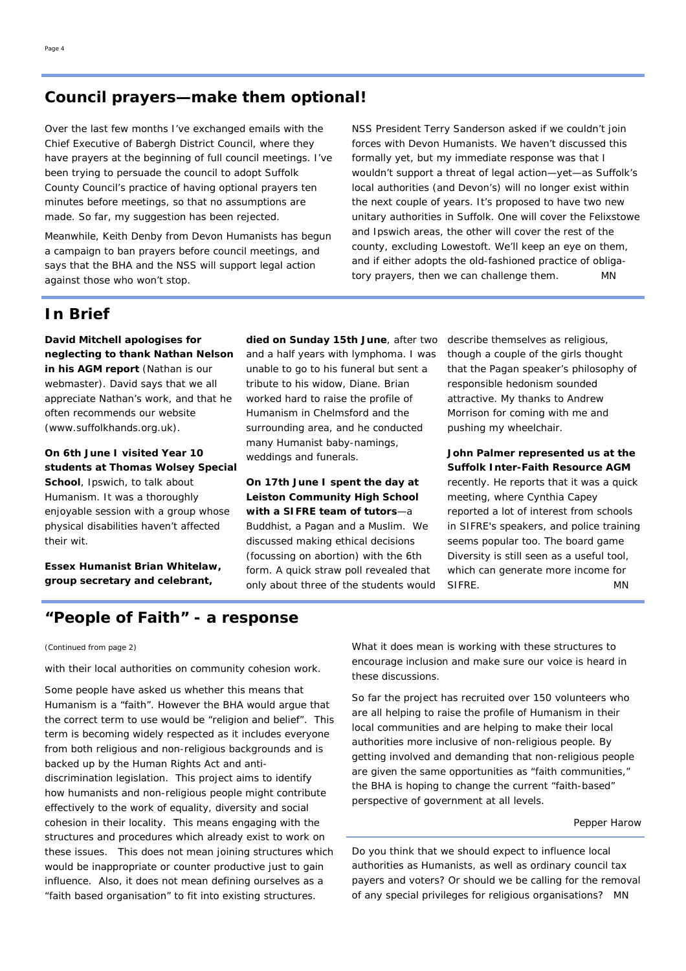# **Council prayers—make them optional!**

Over the last few months I've exchanged emails with the Chief Executive of Babergh District Council, where they have prayers at the beginning of full council meetings. I've been trying to persuade the council to adopt Suffolk County Council's practice of having optional prayers ten minutes *before* meetings, so that no assumptions are made. So far, my suggestion has been rejected.

Meanwhile, Keith Denby from Devon Humanists has begun a campaign to ban prayers before council meetings, and says that the BHA and the NSS will support legal action against those who won't stop.

NSS President Terry Sanderson asked if we couldn't join forces with Devon Humanists. We haven't discussed this formally yet, but my immediate response was that I wouldn't support a threat of legal action—yet—as Suffolk's local authorities (and Devon's) will no longer exist within the next couple of years. It's proposed to have two new unitary authorities in Suffolk. One will cover the Felixstowe and Ipswich areas, the other will cover the rest of the county, excluding Lowestoft. We'll keep an eye on them, and if either adopts the old-fashioned practice of obligatory prayers, *then* we can challenge them. *MN*

## **In Brief**

**David Mitchell apologises for neglecting to thank Nathan Nelson in his AGM report** (Nathan is our webmaster). David says that we all appreciate Nathan's work, and that he often recommends our website (www.suffolkhands.org.uk).

**On 6th June I visited Year 10 students at Thomas Wolsey Special School**, Ipswich, to talk about Humanism. It was a thoroughly enjoyable session with a group whose physical disabilities haven't affected their wit.

**Essex Humanist Brian Whitelaw, group secretary and celebrant,** 

**died on Sunday 15th June**, after two and a half years with lymphoma. I was unable to go to his funeral but sent a tribute to his widow, Diane. Brian worked hard to raise the profile of Humanism in Chelmsford and the surrounding area, and he conducted many Humanist baby-namings, weddings and funerals.

**On 17th June I spent the day at Leiston Community High School with a SIFRE team of tutors**—a Buddhist, a Pagan and a Muslim. We discussed making ethical decisions (focussing on abortion) with the 6th form. A quick straw poll revealed that only about three of the students would describe themselves as religious, though a couple of the girls thought that the Pagan speaker's philosophy of responsible hedonism sounded attractive. My thanks to Andrew Morrison for coming with me and pushing my wheelchair.

**John Palmer represented us at the Suffolk Inter-Faith Resource AGM**  recently. He reports that it was a quick meeting, where Cynthia Capey reported a lot of interest from schools in SIFRE's speakers, and police training seems popular too. The board game Diversity is still seen as a useful tool, which can generate more income for SIFRE. *MN* 

# **"People of Faith" - a response**

#### *(Continued from page 2)*

with their local authorities on community cohesion work.

Some people have asked us whether this means that Humanism is a "faith". However the BHA would argue that the correct term to use would be "religion and belief". This term is becoming widely respected as it includes everyone from both religious and non-religious backgrounds and is backed up by the Human Rights Act and antidiscrimination legislation. This project aims to identify how humanists and non-religious people might contribute effectively to the work of equality, diversity and social cohesion in their locality. This means engaging with the structures and procedures which already exist to work on these issues. This does not mean joining structures which would be inappropriate or counter productive just to gain influence. Also, it does not mean defining ourselves as a "faith based organisation" to fit into existing structures.

What it does mean is working with these structures to encourage inclusion and make sure our voice is heard in these discussions.

So far the project has recruited over 150 volunteers who are all helping to raise the profile of Humanism in their local communities and are helping to make their local authorities more inclusive of non-religious people. By getting involved and demanding that non-religious people are given the same opportunities as "faith communities," the BHA is hoping to change the current "faith-based" perspective of government at all levels.

#### *Pepper Harow*

Do you think that we should expect to influence local authorities as Humanists, as well as ordinary council tax payers and voters? Or should we be calling for the removal of any special privileges for religious organisations? *MN*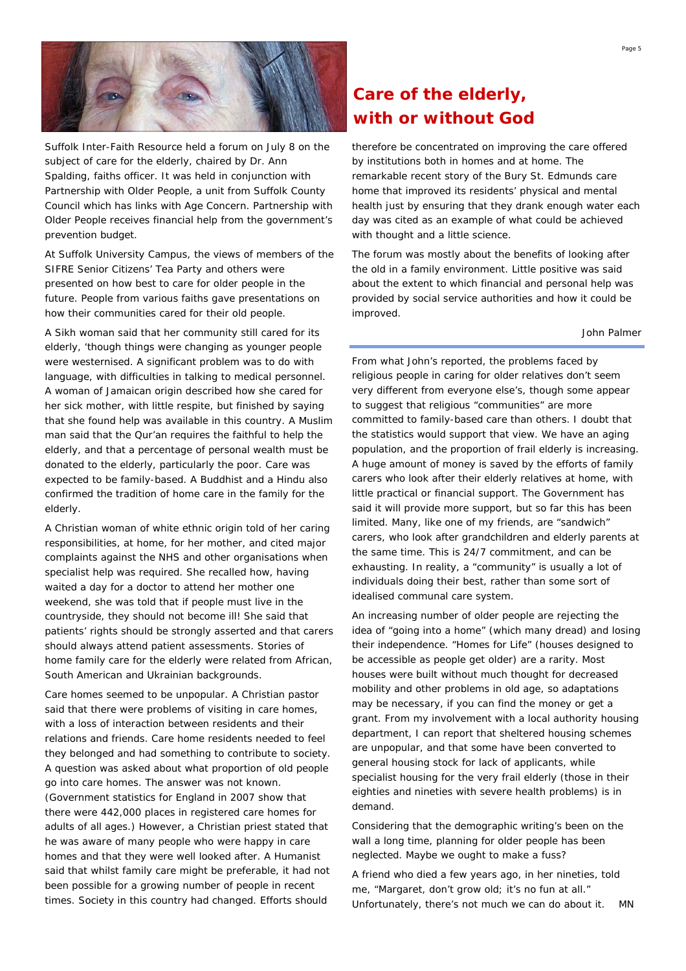

Suffolk Inter-Faith Resource held a forum on July 8 on the subject of care for the elderly, chaired by Dr. Ann Spalding, faiths officer. It was held in conjunction with Partnership with Older People, a unit from Suffolk County Council which has links with Age Concern. Partnership with Older People receives financial help from the government's prevention budget.

At Suffolk University Campus, the views of members of the SIFRE Senior Citizens' Tea Party and others were presented on how best to care for older people in the future. People from various faiths gave presentations on how their communities cared for their old people.

A Sikh woman said that her community still cared for its elderly, 'though things were changing as younger people were westernised. A significant problem was to do with language, with difficulties in talking to medical personnel. A woman of Jamaican origin described how she cared for her sick mother, with little respite, but finished by saying that she found help was available in this country. A Muslim man said that the Qur'an requires the faithful to help the elderly, and that a percentage of personal wealth must be donated to the elderly, particularly the poor. Care was expected to be family-based. A Buddhist and a Hindu also confirmed the tradition of home care in the family for the elderly.

A Christian woman of white ethnic origin told of her caring responsibilities, at home, for her mother, and cited major complaints against the NHS and other organisations when specialist help was required. She recalled how, having waited a day for a doctor to attend her mother one weekend, she was told that if people must live in the countryside, they should not become ill! She said that patients' rights should be strongly asserted and that carers should always attend patient assessments. Stories of home family care for the elderly were related from African, South American and Ukrainian backgrounds.

Care homes seemed to be unpopular. A Christian pastor said that there were problems of visiting in care homes, with a loss of interaction between residents and their relations and friends. Care home residents needed to feel they belonged and had something to contribute to society. A question was asked about what proportion of old people go into care homes. The answer was not known. (Government statistics for England in 2007 show that there were 442,000 places in registered care homes for adults of all ages.) However, a Christian priest stated that he was aware of many people who were happy in care homes and that they were well looked after. A Humanist said that whilst family care might be preferable, it had not been possible for a growing number of people in recent times. Society in this country had changed. Efforts should

# **Care of the elderly, with or without God**

therefore be concentrated on improving the care offered by institutions both in homes and at home. The remarkable recent story of the Bury St. Edmunds care home that improved its residents' physical and mental health just by ensuring that they drank enough water each day was cited as an example of what could be achieved with thought and a little science.

The forum was mostly about the benefits of looking after the old in a family environment. Little positive was said about the extent to which financial and personal help was provided by social service authorities and how it could be improved.

*John Palmer* 

From what John's reported, the problems faced by religious people in caring for older relatives don't seem very different from everyone else's, though some appear to suggest that religious "communities" are more committed to family-based care than others. I doubt that the statistics would support that view. We have an aging population, and the proportion of frail elderly is increasing. A huge amount of money is saved by the efforts of family carers who look after their elderly relatives at home, with little practical or financial support. The Government has said it will provide more support, but so far this has been limited. Many, like one of my friends, are "sandwich" carers, who look after grandchildren and elderly parents at the same time. This is 24/7 commitment, and can be exhausting. In reality, a "community" is usually a lot of individuals doing their best, rather than some sort of idealised communal care system.

An increasing number of older people are rejecting the idea of "going into a home" (which many dread) and losing their independence. "Homes for Life" (houses designed to be accessible as people get older) are a rarity. Most houses were built without much thought for decreased mobility and other problems in old age, so adaptations may be necessary, if you can find the money or get a grant. From my involvement with a local authority housing department, I can report that sheltered housing schemes are unpopular, and that some have been converted to general housing stock for lack of applicants, while specialist housing for the very frail elderly (those in their eighties and nineties with severe health problems) is in demand.

Considering that the demographic writing's been on the wall a long time, planning for older people has been neglected. Maybe we ought to make a fuss?

A friend who died a few years ago, in her nineties, told me, "Margaret, don't grow old; it's no fun at all." Unfortunately, there's not much we can do about it. *MN*